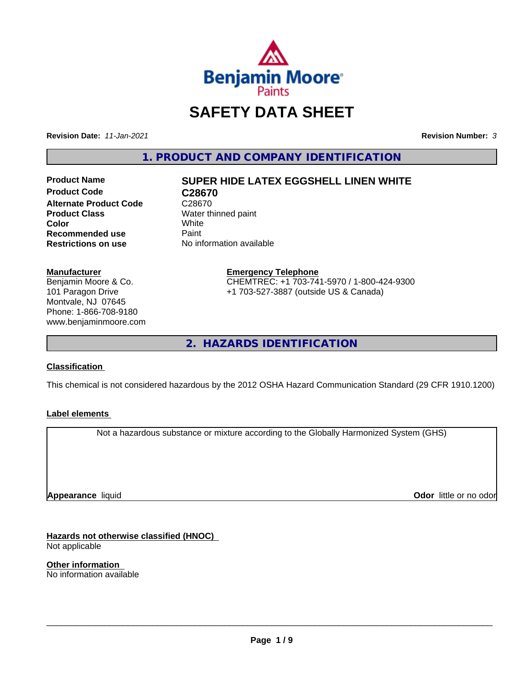

# **SAFETY DATA SHEET**

**Revision Date:** *11-Jan-2021* **Revision Number:** *3*

**1. PRODUCT AND COMPANY IDENTIFICATION**

**Product Code C28670 Alternate Product Code** C28670<br> **Product Class** Water th **Color** White White **Recommended use** Paint<br> **Restrictions on use** No inf

# **Product Name SUPER HIDE LATEX EGGSHELL LINEN WHITE**

**Water thinned paint**<br>White **No information available** 

#### **Manufacturer**

Benjamin Moore & Co. 101 Paragon Drive Montvale, NJ 07645 Phone: 1-866-708-9180 www.benjaminmoore.com

#### **Emergency Telephone** CHEMTREC: +1 703-741-5970 / 1-800-424-9300 +1 703-527-3887 (outside US & Canada)

**2. HAZARDS IDENTIFICATION**

### **Classification**

This chemical is not considered hazardous by the 2012 OSHA Hazard Communication Standard (29 CFR 1910.1200)

### **Label elements**

Not a hazardous substance or mixture according to the Globally Harmonized System (GHS)

**Appearance** liquid

**Odor** little or no odor

**Hazards not otherwise classified (HNOC)** Not applicable

**Other information** No information available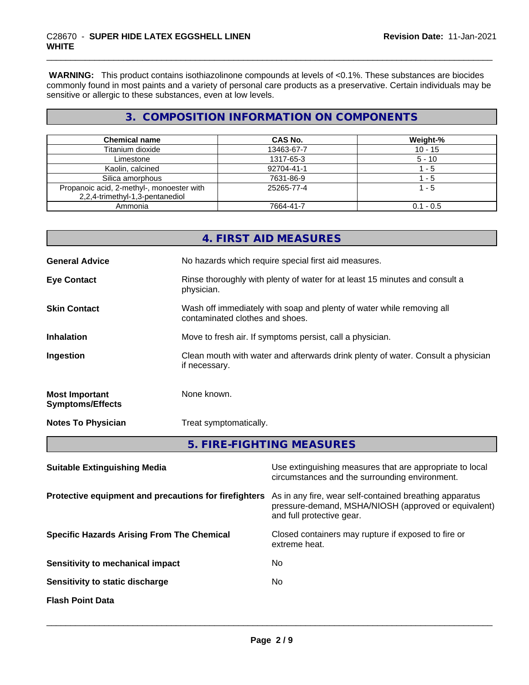**WARNING:** This product contains isothiazolinone compounds at levels of <0.1%. These substances are biocides commonly found in most paints and a variety of personal care products as a preservative. Certain individuals may be sensitive or allergic to these substances, even at low levels.

# **3. COMPOSITION INFORMATION ON COMPONENTS**

| <b>Chemical name</b>                      | CAS No.    | Weight-%    |
|-------------------------------------------|------------|-------------|
| Titanium dioxide                          | 13463-67-7 | $10 - 15$   |
| Limestone                                 | 1317-65-3  | $5 - 10$    |
| Kaolin, calcined                          | 92704-41-1 | - 5         |
| Silica amorphous                          | 7631-86-9  | - 5         |
| Propanoic acid, 2-methyl-, monoester with | 25265-77-4 | 1 - 5       |
| 2,2,4-trimethyl-1,3-pentanediol           |            |             |
| Ammonia                                   | 7664-41-7  | $0.1 - 0.5$ |

|                                                  | 4. FIRST AID MEASURES                                                                                    |
|--------------------------------------------------|----------------------------------------------------------------------------------------------------------|
| <b>General Advice</b>                            | No hazards which require special first aid measures.                                                     |
| <b>Eye Contact</b>                               | Rinse thoroughly with plenty of water for at least 15 minutes and consult a<br>physician.                |
| <b>Skin Contact</b>                              | Wash off immediately with soap and plenty of water while removing all<br>contaminated clothes and shoes. |
| <b>Inhalation</b>                                | Move to fresh air. If symptoms persist, call a physician.                                                |
| Ingestion                                        | Clean mouth with water and afterwards drink plenty of water. Consult a physician<br>if necessary.        |
| <b>Most Important</b><br><b>Symptoms/Effects</b> | None known.                                                                                              |
| <b>Notes To Physician</b>                        | Treat symptomatically.                                                                                   |
|                                                  | 5. FIRE-FIGHTING MEASURES                                                                                |

| <b>Suitable Extinguishing Media</b>                   | Use extinguishing measures that are appropriate to local<br>circumstances and the surrounding environment.                                   |
|-------------------------------------------------------|----------------------------------------------------------------------------------------------------------------------------------------------|
| Protective equipment and precautions for firefighters | As in any fire, wear self-contained breathing apparatus<br>pressure-demand, MSHA/NIOSH (approved or equivalent)<br>and full protective gear. |
| <b>Specific Hazards Arising From The Chemical</b>     | Closed containers may rupture if exposed to fire or<br>extreme heat.                                                                         |
| Sensitivity to mechanical impact                      | No                                                                                                                                           |
| Sensitivity to static discharge                       | No                                                                                                                                           |
| <b>Flash Point Data</b>                               |                                                                                                                                              |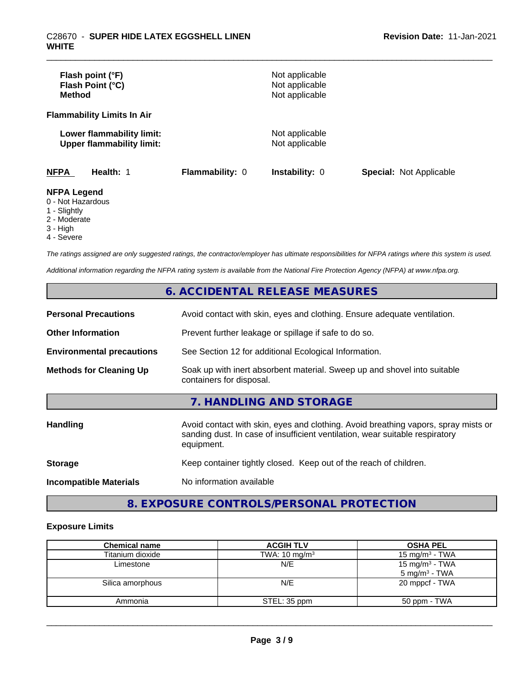| Flash point (°F)<br>Flash Point (°C)<br><b>Method</b>                                        |                 | Not applicable<br>Not applicable<br>Not applicable |                                |
|----------------------------------------------------------------------------------------------|-----------------|----------------------------------------------------|--------------------------------|
| <b>Flammability Limits In Air</b>                                                            |                 |                                                    |                                |
| Lower flammability limit:<br><b>Upper flammability limit:</b>                                |                 | Not applicable<br>Not applicable                   |                                |
| <b>NFPA</b><br>Health: 1                                                                     | Flammability: 0 | <b>Instability: 0</b>                              | <b>Special: Not Applicable</b> |
| <b>NFPA Legend</b><br>0 - Not Hazardous<br>$\mathcal{A}$ of $\mathcal{A}$ is $\mathcal{A}$ . |                 |                                                    |                                |

- 1 Slightly
- 2 Moderate
- 3 High
- 4 Severe

*The ratings assigned are only suggested ratings, the contractor/employer has ultimate responsibilities for NFPA ratings where this system is used.*

*Additional information regarding the NFPA rating system is available from the National Fire Protection Agency (NFPA) at www.nfpa.org.*

# **6. ACCIDENTAL RELEASE MEASURES**

| <b>Personal Precautions</b>      | Avoid contact with skin, eyes and clothing. Ensure adequate ventilation.                                                                                                         |
|----------------------------------|----------------------------------------------------------------------------------------------------------------------------------------------------------------------------------|
| <b>Other Information</b>         | Prevent further leakage or spillage if safe to do so.                                                                                                                            |
| <b>Environmental precautions</b> | See Section 12 for additional Ecological Information.                                                                                                                            |
| <b>Methods for Cleaning Up</b>   | Soak up with inert absorbent material. Sweep up and shovel into suitable<br>containers for disposal.                                                                             |
|                                  | 7. HANDLING AND STORAGE                                                                                                                                                          |
| Handling                         | Avoid contact with skin, eyes and clothing. Avoid breathing vapors, spray mists or<br>sanding dust. In case of insufficient ventilation, wear suitable respiratory<br>equipment. |
| <b>Storage</b>                   | Keep container tightly closed. Keep out of the reach of children.                                                                                                                |
| <b>Incompatible Materials</b>    | No information available                                                                                                                                                         |

# **8. EXPOSURE CONTROLS/PERSONAL PROTECTION**

### **Exposure Limits**

| <b>Chemical name</b> | <b>ACGIH TLV</b>         | <b>OSHA PEL</b>                                        |
|----------------------|--------------------------|--------------------------------------------------------|
| Titanium dioxide     | TWA: $10 \text{ mg/m}^3$ | 15 mg/m $3$ - TWA                                      |
| Limestone            | N/E                      | 15 mg/m <sup>3</sup> - TWA<br>$5 \text{ mg/m}^3$ - TWA |
| Silica amorphous     | N/E                      | 20 mppcf - TWA                                         |
| Ammonia              | STEL: 35 ppm             | 50 ppm - TWA                                           |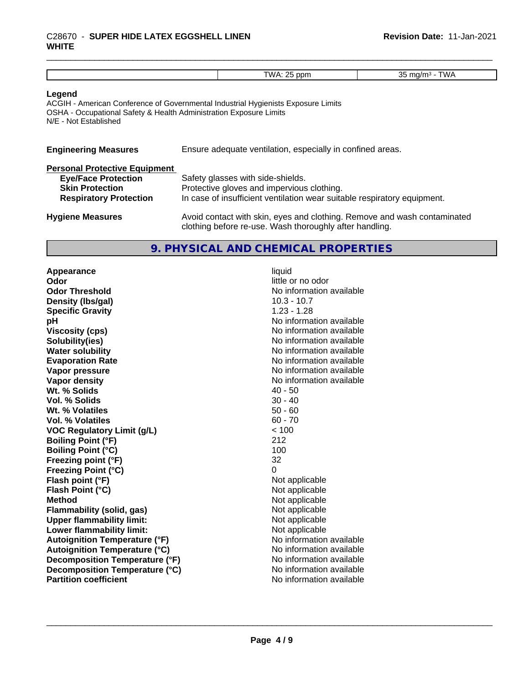# \_\_\_\_\_\_\_\_\_\_\_\_\_\_\_\_\_\_\_\_\_\_\_\_\_\_\_\_\_\_\_\_\_\_\_\_\_\_\_\_\_\_\_\_\_\_\_\_\_\_\_\_\_\_\_\_\_\_\_\_\_\_\_\_\_\_\_\_\_\_\_\_\_\_\_\_\_\_\_\_\_\_\_\_\_\_\_\_\_\_\_\_\_ C28670 - **SUPER HIDE LATEX EGGSHELL LINEN WHITE**

#### **Legend**

ACGIH - American Conference of Governmental Industrial Hygienists Exposure Limits OSHA - Occupational Safety & Health Administration Exposure Limits N/E - Not Established

| <b>Engineering Measures</b> | Ensure adequate ventilation, especially in confined areas. |
|-----------------------------|------------------------------------------------------------|
|                             |                                                            |

| <b>Personal Protective Equipment</b> |                                                                          |
|--------------------------------------|--------------------------------------------------------------------------|
| ____                                 | $\mathbf{A}$ . $\mathbf{A}$ . $\mathbf{A}$ . $\mathbf{A}$ . $\mathbf{A}$ |

| <b>Eye/Face Protection</b>    | Safety glasses with side-shields.                                        |
|-------------------------------|--------------------------------------------------------------------------|
| <b>Skin Protection</b>        | Protective gloves and impervious clothing.                               |
| <b>Respiratory Protection</b> | In case of insufficient ventilation wear suitable respiratory equipment. |
|                               |                                                                          |
| <b>Hygiene Measures</b>       | Avoid contact with skin, eyes and clothing. Remove and wash contaminated |

clothing before re-use. Wash thoroughly after handling.

# **9. PHYSICAL AND CHEMICAL PROPERTIES**

**Appearance** liquid **Odor** little or no odor **Odor Threshold No information available No information available Density (lbs/gal)** 10.3 - 10.7 **Specific Gravity** 1.23 - 1.28 **pH pH**  $\blacksquare$ **Viscosity (cps)** No information available **Solubility(ies)** No information available **Water solubility Water solubility Water solubility Water solubility Water solubility Water solution Evaporation Rate No information available No information available Vapor pressure** No information available **Vapor density Vapor** density **Wt. % Solids** 40 - 50 **Vol. % Solids** 30 - 40 **Wt. % Volatiles Vol. % Volatiles** 60 - 70 **VOC Regulatory Limit (g/L)** < 100 **Boiling Point (°F)** 212 **Boiling Point (°C)** 100 **Freezing point (°F)** 32 **Freezing Point (°C)**<br> **Flash point (°F)**<br> **Flash point (°F)**<br> **Point (°F)**<br> **Point (°F)**<br> **Point District (°F)**<br> **Point District (°F) Flash point (°F)**<br> **Flash Point (°C)**<br> **Flash Point (°C)**<br> **C Flash Point (°C) Method**<br> **Flammability (solid, gas)**<br> **Example 2018** Not applicable **Flammability (solid, gas)** Not applicable<br> **Upper flammability limit:** Not applicable **Upper flammability limit: Lower flammability limit:** Not applicable **Autoignition Temperature (°F)** No information available **Autoignition Temperature (°C)** No information available **Decomposition Temperature (°F)** No information available **Decomposition Temperature (°C)** No information available **Partition coefficient** No information available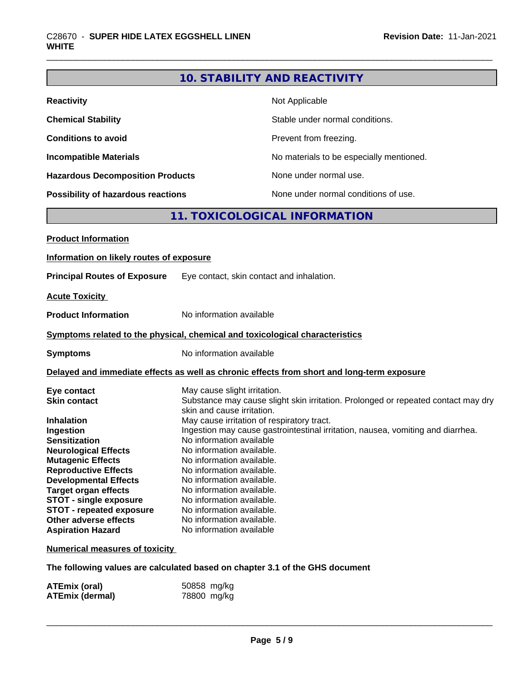# **10. STABILITY AND REACTIVITY**

| <b>Reactivity</b>                       | Not Applicable                           |
|-----------------------------------------|------------------------------------------|
| <b>Chemical Stability</b>               | Stable under normal conditions.          |
| <b>Conditions to avoid</b>              | Prevent from freezing.                   |
| <b>Incompatible Materials</b>           | No materials to be especially mentioned. |
| <b>Hazardous Decomposition Products</b> | None under normal use.                   |
| Possibility of hazardous reactions      | None under normal conditions of use.     |

# **11. TOXICOLOGICAL INFORMATION**

| <b>Product Information</b>                                                                 |                                                                                                                               |  |
|--------------------------------------------------------------------------------------------|-------------------------------------------------------------------------------------------------------------------------------|--|
| Information on likely routes of exposure                                                   |                                                                                                                               |  |
| <b>Principal Routes of Exposure</b>                                                        | Eye contact, skin contact and inhalation.                                                                                     |  |
| <b>Acute Toxicity</b>                                                                      |                                                                                                                               |  |
| <b>Product Information</b>                                                                 | No information available                                                                                                      |  |
|                                                                                            | Symptoms related to the physical, chemical and toxicological characteristics                                                  |  |
| <b>Symptoms</b>                                                                            | No information available                                                                                                      |  |
| Delayed and immediate effects as well as chronic effects from short and long-term exposure |                                                                                                                               |  |
| Eye contact                                                                                | May cause slight irritation.                                                                                                  |  |
| <b>Skin contact</b>                                                                        | Substance may cause slight skin irritation. Prolonged or repeated contact may dry                                             |  |
|                                                                                            | skin and cause irritation.                                                                                                    |  |
| <b>Inhalation</b>                                                                          | May cause irritation of respiratory tract.<br>Ingestion may cause gastrointestinal irritation, nausea, vomiting and diarrhea. |  |
| Ingestion<br><b>Sensitization</b>                                                          | No information available                                                                                                      |  |
| <b>Neurological Effects</b>                                                                | No information available.                                                                                                     |  |
| <b>Mutagenic Effects</b>                                                                   | No information available.                                                                                                     |  |
| <b>Reproductive Effects</b>                                                                | No information available.                                                                                                     |  |
| <b>Developmental Effects</b>                                                               | No information available.                                                                                                     |  |
| <b>Target organ effects</b>                                                                | No information available.                                                                                                     |  |
| <b>STOT - single exposure</b>                                                              | No information available.                                                                                                     |  |
| <b>STOT - repeated exposure</b>                                                            | No information available.                                                                                                     |  |
| Other adverse effects                                                                      | No information available.                                                                                                     |  |
| <b>Aspiration Hazard</b>                                                                   | No information available                                                                                                      |  |
| <b>Numerical measures of toxicity</b>                                                      |                                                                                                                               |  |

**The following values are calculated based on chapter 3.1 of the GHS document**

| ATEmix (oral)          | 50858 mg/kg |
|------------------------|-------------|
| <b>ATEmix (dermal)</b> | 78800 mg/kg |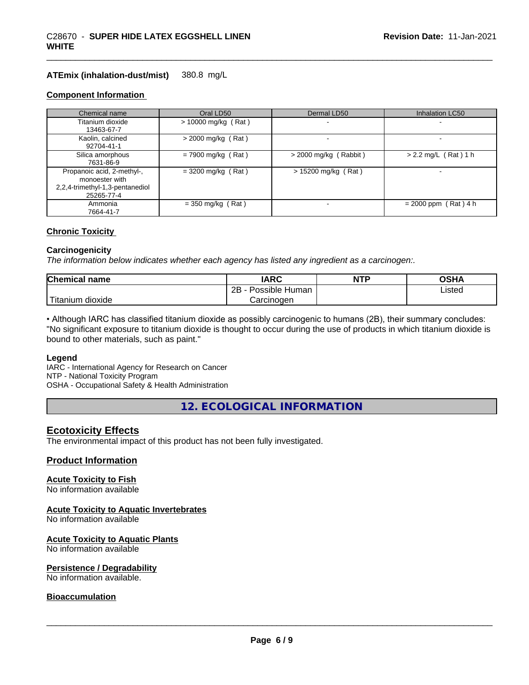#### **ATEmix (inhalation-dust/mist)** 380.8 mg/L

#### **Component Information**

**WHITE**

| Chemical name                                                                                 | Oral LD50             | Dermal LD50             | Inhalation LC50        |
|-----------------------------------------------------------------------------------------------|-----------------------|-------------------------|------------------------|
| Titanium dioxide<br>13463-67-7                                                                | $> 10000$ mg/kg (Rat) |                         |                        |
| Kaolin, calcined<br>92704-41-1                                                                | $>$ 2000 mg/kg (Rat)  |                         |                        |
| Silica amorphous<br>7631-86-9                                                                 | $= 7900$ mg/kg (Rat)  | $>$ 2000 mg/kg (Rabbit) | $> 2.2$ mg/L (Rat) 1 h |
| Propanoic acid, 2-methyl-,<br>monoester with<br>2,2,4-trimethyl-1,3-pentanediol<br>25265-77-4 | $=$ 3200 mg/kg (Rat)  | $> 15200$ mg/kg (Rat)   | -                      |
| Ammonia<br>7664-41-7                                                                          | $=$ 350 mg/kg (Rat)   |                         | $= 2000$ ppm (Rat) 4 h |

#### **Chronic Toxicity**

#### **Carcinogenicity**

*The information below indicateswhether each agency has listed any ingredient as a carcinogen:.*

| <b>Chemical</b><br>name         | <b>IARC</b>                    | <b>NTP</b> | ດເ⊔າ<br>∪J∏≁   |
|---------------------------------|--------------------------------|------------|----------------|
|                                 | . .<br>2B<br>Possible<br>Human |            | Listed<br>____ |
| <br>. dioxide<br><b>itanium</b> | Carcinogen                     |            |                |

• Although IARC has classified titanium dioxide as possibly carcinogenic to humans (2B), their summary concludes: "No significant exposure to titanium dioxide is thought to occur during the use of products in which titanium dioxide is bound to other materials, such as paint."

#### **Legend**

IARC - International Agency for Research on Cancer NTP - National Toxicity Program OSHA - Occupational Safety & Health Administration

**12. ECOLOGICAL INFORMATION**

### **Ecotoxicity Effects**

The environmental impact of this product has not been fully investigated.

#### **Product Information**

#### **Acute Toxicity to Fish**

No information available

#### **Acute Toxicity to Aquatic Invertebrates**

No information available

#### **Acute Toxicity to Aquatic Plants**

No information available

#### **Persistence / Degradability**

No information available.

#### **Bioaccumulation**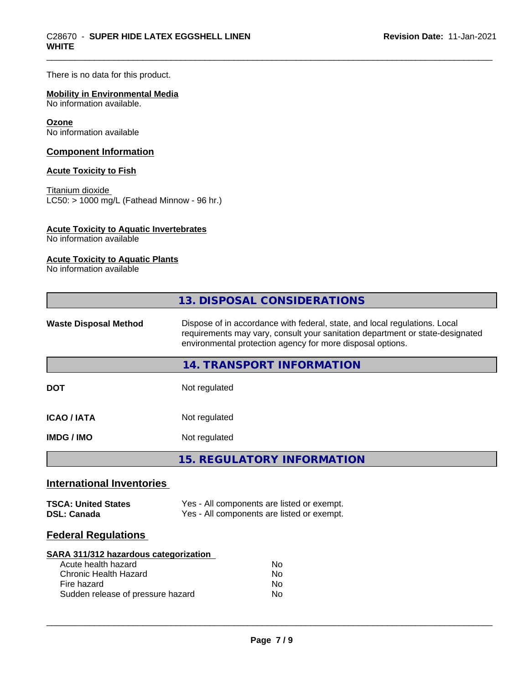There is no data for this product.

## **Mobility in Environmental Media**

No information available.

#### **Ozone**

No information available

### **Component Information**

### **Acute Toxicity to Fish**

Titanium dioxide  $\overline{\text{LC50:}}$  > 1000 mg/L (Fathead Minnow - 96 hr.)

#### **Acute Toxicity to Aquatic Invertebrates**

No information available

## **Acute Toxicity to Aquatic Plants**

No information available

|                                                  | 13. DISPOSAL CONSIDERATIONS                                                                                                                                                                                               |
|--------------------------------------------------|---------------------------------------------------------------------------------------------------------------------------------------------------------------------------------------------------------------------------|
| <b>Waste Disposal Method</b>                     | Dispose of in accordance with federal, state, and local regulations. Local<br>requirements may vary, consult your sanitation department or state-designated<br>environmental protection agency for more disposal options. |
|                                                  | <b>14. TRANSPORT INFORMATION</b>                                                                                                                                                                                          |
| <b>DOT</b>                                       | Not regulated                                                                                                                                                                                                             |
| <b>ICAO/IATA</b>                                 | Not regulated                                                                                                                                                                                                             |
| <b>IMDG/IMO</b>                                  | Not regulated                                                                                                                                                                                                             |
|                                                  | <b>15. REGULATORY INFORMATION</b>                                                                                                                                                                                         |
| <b>International Inventories</b>                 |                                                                                                                                                                                                                           |
| <b>TSCA: United States</b><br><b>DSL: Canada</b> | Yes - All components are listed or exempt.<br>Yes - All components are listed or exempt.                                                                                                                                  |
| <b>Federal Regulations</b>                       |                                                                                                                                                                                                                           |
|                                                  |                                                                                                                                                                                                                           |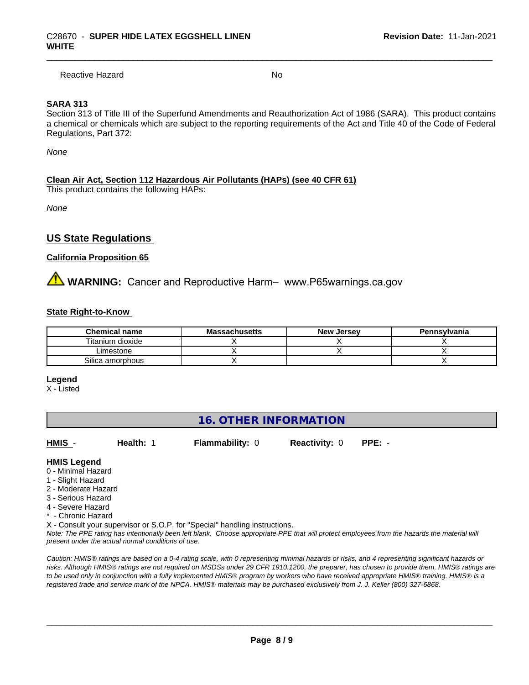Reactive Hazard No. No. 2014

#### **SARA 313**

Section 313 of Title III of the Superfund Amendments and Reauthorization Act of 1986 (SARA). This product contains a chemical or chemicals which are subject to the reporting requirements of the Act and Title 40 of the Code of Federal Regulations, Part 372:

*None*

#### **Clean Air Act,Section 112 Hazardous Air Pollutants (HAPs) (see 40 CFR 61)**

This product contains the following HAPs:

*None*

# **US State Regulations**

#### **California Proposition 65**

**WARNING:** Cancer and Reproductive Harm– www.P65warnings.ca.gov

#### **State Right-to-Know**

| <b>Chemical name</b> | <b>Massachusetts</b> | <b>New Jersey</b> | Pennsylvania |
|----------------------|----------------------|-------------------|--------------|
| Titanium dioxide     |                      |                   |              |
| _imestone            |                      |                   |              |
| Silica amorphous     |                      |                   |              |

**Legend**

X - Listed

# **16. OTHER INFORMATION**

**HMIS** - **Health:** 1 **Flammability:** 0 **Reactivity:** 0 **PPE:** -

 $\overline{\phantom{a}}$  ,  $\overline{\phantom{a}}$  ,  $\overline{\phantom{a}}$  ,  $\overline{\phantom{a}}$  ,  $\overline{\phantom{a}}$  ,  $\overline{\phantom{a}}$  ,  $\overline{\phantom{a}}$  ,  $\overline{\phantom{a}}$  ,  $\overline{\phantom{a}}$  ,  $\overline{\phantom{a}}$  ,  $\overline{\phantom{a}}$  ,  $\overline{\phantom{a}}$  ,  $\overline{\phantom{a}}$  ,  $\overline{\phantom{a}}$  ,  $\overline{\phantom{a}}$  ,  $\overline{\phantom{a}}$ 

#### **HMIS Legend**

- 0 Minimal Hazard
- 1 Slight Hazard
- 2 Moderate Hazard
- 3 Serious Hazard
- 4 Severe Hazard
- \* Chronic Hazard

X - Consult your supervisor or S.O.P. for "Special" handling instructions.

*Note: The PPE rating has intentionally been left blank. Choose appropriate PPE that will protect employees from the hazards the material will present under the actual normal conditions of use.*

*Caution: HMISÒ ratings are based on a 0-4 rating scale, with 0 representing minimal hazards or risks, and 4 representing significant hazards or risks. Although HMISÒ ratings are not required on MSDSs under 29 CFR 1910.1200, the preparer, has chosen to provide them. HMISÒ ratings are to be used only in conjunction with a fully implemented HMISÒ program by workers who have received appropriate HMISÒ training. HMISÒ is a registered trade and service mark of the NPCA. HMISÒ materials may be purchased exclusively from J. J. Keller (800) 327-6868.*